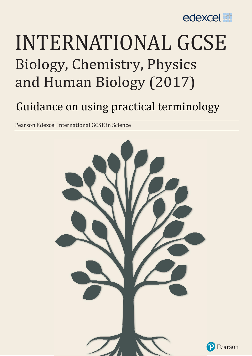

# INTERNATIONAL GCSE Biology, Chemistry, Physics and Human Biology (2017)

# Guidance on using practical terminology

Pearson Edexcel International GCSE in Science

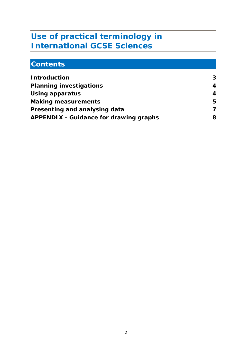### **Use of practical terminology in International GCSE Sciences**

## **Contents**

| <b>Introduction</b>                           | 3                       |
|-----------------------------------------------|-------------------------|
| <b>Planning investigations</b>                | 4                       |
| <b>Using apparatus</b>                        | 4                       |
| <b>Making measurements</b>                    | 5                       |
| Presenting and analysing data                 | $\overline{\mathbf{z}}$ |
| <b>APPENDIX - Guidance for drawing graphs</b> | 8                       |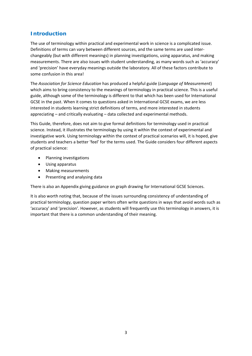#### **Introduction**

The use of terminology within practical and experimental work in science is a complicated issue. Definitions of terms can vary between different sources, and the same terms are used inter‐ changeably (but with different meanings) in planning investigations, using apparatus, and making measurements. There are also issues with student understanding, as many words such as 'accuracy' and 'precision' have everyday meanings outside the laboratory. All of these factors contribute to some confusion in this area!

The *Association for Science Education* has produced a helpful guide (*Language of Measurement*) which aims to bring consistency to the meanings of terminology in practical science. This is a useful guide, although some of the terminology is different to that which has been used for International GCSE in the past. When it comes to questions asked in International GCSE exams, we are less interested in students learning strict definitions of terms, and more interested in students appreciating – and critically evaluating – data collected and experimental methods.

This Guide, therefore, does not aim to give formal definitions for terminology used in practical science. Instead, it illustrates the terminology by using it within the context of experimental and investigative work. Using terminology within the context of practical scenarios will, it is hoped, give students and teachers a better 'feel' for the terms used. The Guide considers four different aspects of practical science:

- Planning investigations
- Using apparatus
- Making measurements
- Presenting and analysing data

There is also an Appendix giving guidance on graph drawing for International GCSE Sciences.

It is also worth noting that, because of the issues surrounding consistency of understanding of practical terminology, question paper writers often write questions in ways that avoid words such as 'accuracy' and 'precision'. However, as students will frequently use this terminology in answers, it is important that there is a common understanding of their meaning.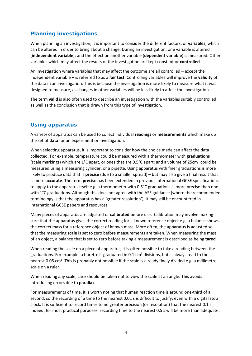#### **Planning investigations**

When planning an investigation, it is important to consider the different factors, or **variables**, which can be altered in order to bring about a change. During an investigation, one variable is altered (**independent variable**); and the effect on another variable (**dependent variable**) is measured. Other variables which may affect the results of the investigation are kept constant or **controlled**.

An investigation where variables that may affect the outcome are all controlled – except the independent variable – is referred to as a **fair test**. Controlling variables will improve the **validity** of the data in an investigation. This is because the investigation is more likely to measure what it was designed to measure, as changes in other variables will be less likely to affect the investigation.

The term **valid** is also often used to describe an investigation with the variables suitably controlled, as well as the conclusion that is drawn from this type of investigation.

#### **Using apparatus**

A variety of apparatus can be used to collect individual **readings** or **measurements** which make up the set of **data** for an experiment or investigation.

When selecting apparatus, it is important to consider how the choice made can affect the data collected. For example, temperature could be measured with a thermometer with **graduations** (scale markings) which are 1°C apart, or ones that are 0.5°C apart; and a volume of 25cm<sup>3</sup> could be measured using a measuring cylinder, or a pipette. Using apparatus with finer graduations is more likely to produce data that is **precise** (due to a smaller spread) – but may also give a final result that is more **accurate**. The term **precise** has been extended in previous International GCSE specifications to apply to the apparatus itself e.g. a thermometer with 0.5°C graduations is more precise than one with 1°C graduations. Although this does not agree with the ASE guidance (where the recommended terminology is that the apparatus has a 'greater resolution'), it may still be encountered in International GCSE papers and resources.

Many pieces of apparatus are adjusted or **calibrated** before use. Calibration may involve making sure that the apparatus gives the correct reading for a known reference object e.g. a balance shows the correct mass for a reference object of known mass. More often, the apparatus is adjusted so that the measuring **scale** is set to zero before measurements are taken. When measuring the mass of an object, a balance that is set to zero before taking a measurement is described as being **tared**.

When reading the scale on a piece of apparatus, it is often possible to take a reading between the graduations. For example, a burette is graduated in 0.1 cm<sup>3</sup> divisions, but is always read to the nearest 0.05 cm<sup>3</sup>. This is probably not possible if the scale is already finely divided e.g. a millimetre scale on a ruler.

When reading any scale, care should be taken not to view the scale at an angle. This avoids introducing errors due to **parallax**.

For measurements of time, it is worth noting that human reaction time is around one‐third of a second, so the recording of a time to the nearest 0.01 s is difficult to justify, even with a digital stop clock. It is sufficient to record times to no greater precision (or resolution) that the nearest 0.1 s. Indeed, for most practical purposes, recording time to the nearest 0.5 s will be more than adequate.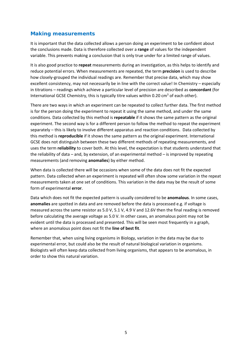#### **Making measurements**

It is important that the data collected allows a person doing an experiment to be confident about the conclusions made. Data is therefore collected over a **range** of values for the independent variable. This prevents making a conclusion that is only true under for a limited range of values.

It is also good practice to **repeat** measurements during an investigation, as this helps to identify and reduce potential errors. When measurements are repeated, the term **precision** is used to describe how closely-grouped the individual readings are. Remember that precise data, which may show excellent consistency, may not necessarily be in line with the correct value! In Chemistry – especially in titrations – readings which achieve a particular level of precision are described as **concordant** (for International GCSE Chemistry, this is typically titre values within 0.20 cm<sup>3</sup> of each other).

There are two ways in which an experiment can be repeated to collect further data. The first method is for the person doing the experiment to repeat it using the same method, and under the same conditions. Data collected by this method is **repeatable** if it shows the same pattern as the original experiment. The second way is for a different person to follow the method to repeat the experiment separately – this is likely to involve different apparatus and reaction conditions. Data collected by this method is **reproducible** if it shows the same pattern as the original experiment. International GCSE does not distinguish between these two different methods of repeating measurements, and uses the term **reliability** to cover both. At this level, the expectation is that students understand that the reliability of data – and, by extension, of an experimental method – is improved by repeating measurements (and removing **anomalies**) by either method.

When data is collected there will be occasions when some of the data does not fit the expected pattern. Data collected when an experiment is repeated will often show some variation in the repeat measurements taken at one set of conditions. This variation in the data may be the result of some form of experimental **error**.

Data which does not fit the expected pattern is usually considered to be **anomalous**. In some cases, **anomalies** are spotted in data and are removed before the data is processed e.g. if voltage is measured across the same resistor as 5.0 V, 5.1 V, 4.9 V and 12.6V then the final reading is removed before calculating the average voltage as 5.0 V. In other cases, an anomalous point may not be evident until the data is processed and presented. This will be seen most frequently in a graph, where an anomalous point does not fit the **line of best fit**.

Remember that, when using living organisms in Biology, variation in the data may be due to experimental error, but could also be the result of natural biological variation in organisms. Biologists will often keep data collected from living organisms, that appears to be anomalous, in order to show this natural variation.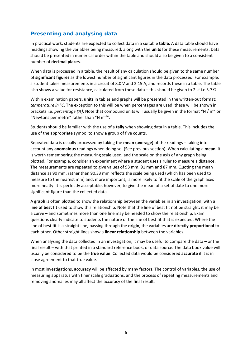#### **Presenting and analysing data**

In practical work, students are expected to collect data in a suitable **table**. A data table should have headings showing the variables being measured, along with the **units** for these measurements. Data should be presented in numerical order within the table and should also be given to a consistent number of **decimal places**.

When data is processed in a table, the result of any calculation should be given to the same number of **significant figures** as the lowest number of significant figures in the data processed. For example: a student takes measurements in a circuit of 8.0 V and 2.15 A, and records these in a table. The table also shows a value for resistance, calculated from these data – this should be given to 2 sf i.e 3.7  $\Omega$ .

Within examination papers, **units** in tables and graphs will be presented in the written-out format: *temperature in °C*. The exception to this will be when percentages are used: these will be shown in brackets i.e. *percentage (%)*. Note that compound units will usually be given in the format "N / m" or "Newtons per metre" rather than "N  $m^{-1}$ ".

Students should be familiar with the use of a **tally** when showing data in a table. This includes the use of the appropriate symbol to show a group of five counts.

Repeated data is usually processed by taking the **mean (average)** of the readings – taking into account any **anomalous** readings when doing so. (See previous section). When calculating a **mean**, it is worth remembering the measuring scale used, and the scale on the axis of any graph being plotted. For example, consider an experiment where a student uses a ruler to measure a distance. The measurements are repeated to give values of 93 mm, 91 mm and 87 mm. Quoting the mean distance as 90 mm, rather than 90.33 mm reflects the scale being used (which has been used to measure to the nearest mm) and, more important, is more likely to fit the scale of the graph axes more neatly. It is perfectly acceptable, however, to give the mean of a set of date to one more significant figure than the collected data.

A **graph** is often plotted to show the relationship between the variables in an investigation, with a **line of best fit** used to show this relationship. Note that the line of best fit not be straight: it may be a curve – and sometimes more than one line may be needed to show the relationship. Exam questions clearly indicate to students the nature of the line of best fit that is expected. Where the line of best fit is a straight line, passing through the **origin**, the variables are **directly proportional** to each other. Other straight lines show a **linear relationship** between the variables.

When analysing the data collected in an investigation, it may be useful to compare the data – or the final result – with that printed in a standard reference book, or data source. The data book value will usually be considered to be the **true value**. Collected data would be considered **accurate** if it is in close agreement to that true value.

In most investigations, **accuracy** will be affected by many factors. The control of variables, the use of measuring apparatus with finer scale graduations, and the process of repeating measurements and removing anomalies may all affect the accuracy of the final result.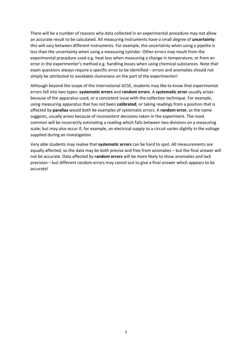There will be a number of reasons why data collected in an experimental procedure may not allow an accurate result to be calculated. All measuring instruments have a small degree of **uncertainty**: this will vary between different instruments. For example, the uncertainty when using a pipette is less than the uncertainty when using a measuring cylinder. Other errors may result from the experimental procedure used e.g. heat loss when measuring a change in temperature; or from an error in the experimenter's method e.g. handling losses when using chemical substances. Note that exam questions always require a specific error to be identified – errors and anomalies should not simply be attributed to avoidable clumsiness on the part of the experimenter!

Although beyond the scope of the International GCSE, students may like to know that experimental errors fall into two types: **systematic errors** and **random errors**. A **systematic error** usually arises because of the apparatus used, or a consistent issue with the collection technique. For example, using measuring apparatus that has not been **calibrated**, or taking readings from a position that is affected by **parallax** would both be examples of systematic errors. A **random error**, as the name suggests, usually arises because of inconsistent decisions taken in the experiment. The most common will be incorrectly estimating a reading which falls between two divisions on a measuring scale; but may also occur if, for example, an electrical supply to a circuit varies slightly in the voltage supplied during an investigation.

Very able students may realise that **systematic errors** can be hard to spot. All measurements are equally affected, so the data may be both precise and free from anomalies – but the final answer will not be accurate. Data affected by **random errors** will be more likely to show anomalies and lack precision – but different random errors may cancel out to give a final answer which appears to be accurate!